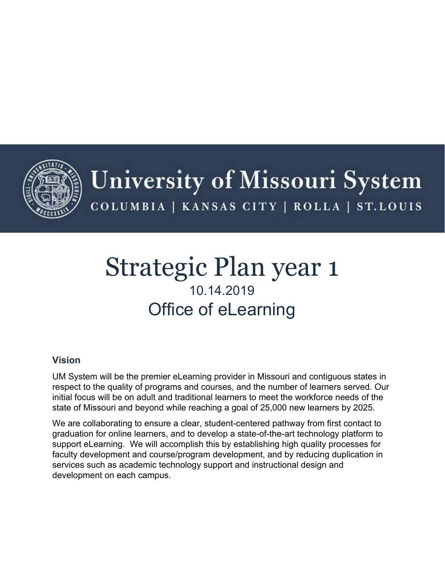

# Strategic Plan year 1 10.14.2019 Office of eLearning

# **Vision**

UM System will be the premier eLearning provider in Missouri and contiguous states in respect to the quality of programs and courses, and the number of learners served. Our initial focus will be on adult and traditional learners to meet the workforce needs of the state of Missouri and beyond while reaching a goal of 25,000 new learners by 2025.

We are collaborating to ensure a clear, student-centered pathway from first contact to graduation for online learners, and to develop a state-of-the-art technology platform to support eLearning. We will accomplish this by establishing high quality processes for faculty development and course/program development, and by reducing duplication in services such as academic technology support and instructional design and development on each campus.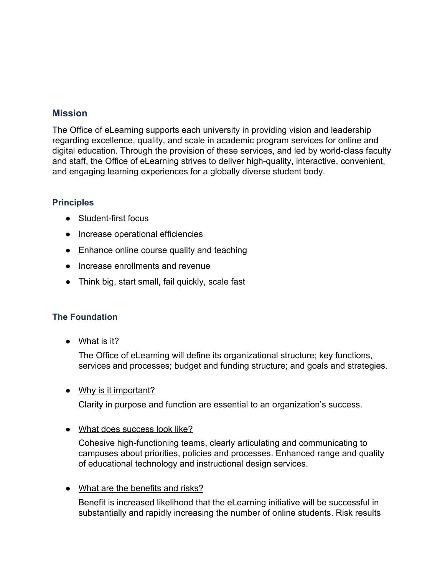# **Mission**

The Office of eLearning supports each university in providing vision and leadership regarding excellence, quality, and scale in academic program services for online and digital education. Through the provision of these services, and led by world-class faculty and staff, the Office of eLearning strives to deliver high-quality, interactive, convenient, and engaging learning experiences for a globally diverse student body.

#### **Principles**

- Student-first focus
- Increase operational efficiencies
- Enhance online course quality and teaching
- Increase enrollments and revenue
- Think big, start small, fail quickly, scale fast

# **The Foundation**

● What is it?

The Office of eLearning will define its organizational structure; key functions, services and processes; budget and funding structure; and goals and strategies.

• Why is it important?

Clarity in purpose and function are essential to an organization's success.

**●** What does success look like?

Cohesive high-functioning teams, clearly articulating and communicating to campuses about priorities, policies and processes. Enhanced range and quality of educational technology and instructional design services.

• What are the benefits and risks?

Benefit is increased likelihood that the eLearning initiative will be successful in substantially and rapidly increasing the number of online students. Risk results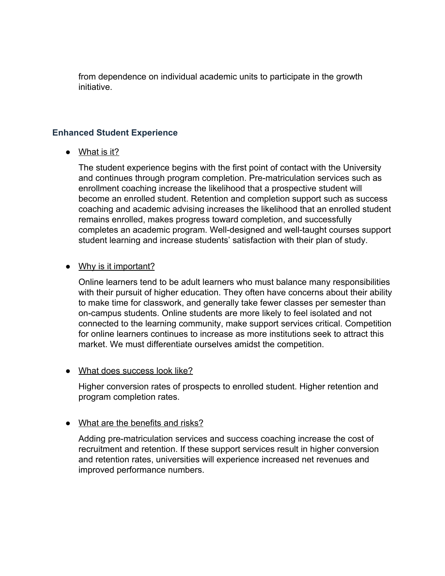from dependence on individual academic units to participate in the growth initiative.

#### **Enhanced Student Experience**

• What is it?

The student experience begins with the first point of contact with the University and continues through program completion. Pre-matriculation services such as enrollment coaching increase the likelihood that a prospective student will become an enrolled student. Retention and completion support such as success coaching and academic advising increases the likelihood that an enrolled student remains enrolled, makes progress toward completion, and successfully completes an academic program. Well-designed and well-taught courses support student learning and increase students' satisfaction with their plan of study.

• Why is it important?

Online learners tend to be adult learners who must balance many responsibilities with their pursuit of higher education. They often have concerns about their ability to make time for classwork, and generally take fewer classes per semester than on-campus students. Online students are more likely to feel isolated and not connected to the learning community, make support services critical. Competition for online learners continues to increase as more institutions seek to attract this market. We must differentiate ourselves amidst the competition.

#### • What does success look like?

Higher conversion rates of prospects to enrolled student. Higher retention and program completion rates.

# • What are the benefits and risks?

Adding pre-matriculation services and success coaching increase the cost of recruitment and retention. If these support services result in higher conversion and retention rates, universities will experience increased net revenues and improved performance numbers.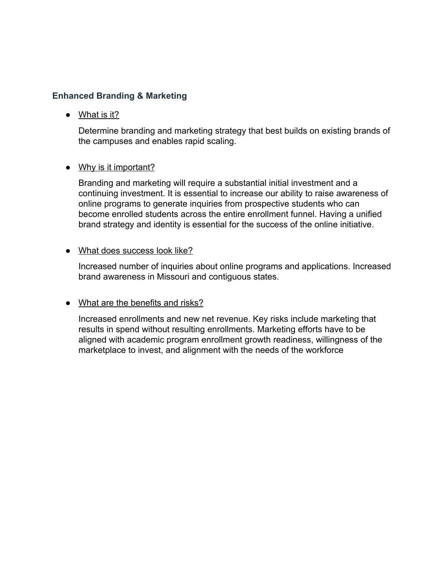#### **Enhanced Branding & Marketing**

● What is it?

Determine branding and marketing strategy that best builds on existing brands of the campuses and enables rapid scaling.

• Why is it important?

Branding and marketing will require a substantial initial investment and a continuing investment. It is essential to increase our ability to raise awareness of online programs to generate inquiries from prospective students who can become enrolled students across the entire enrollment funnel. Having a unified brand strategy and identity is essential for the success of the online initiative.

#### • What does success look like?

Increased number of inquiries about online programs and applications. Increased brand awareness in Missouri and contiguous states.

# • What are the benefits and risks?

Increased enrollments and new net revenue. Key risks include marketing that results in spend without resulting enrollments. Marketing efforts have to be aligned with academic program enrollment growth readiness, willingness of the marketplace to invest, and alignment with the needs of the workforce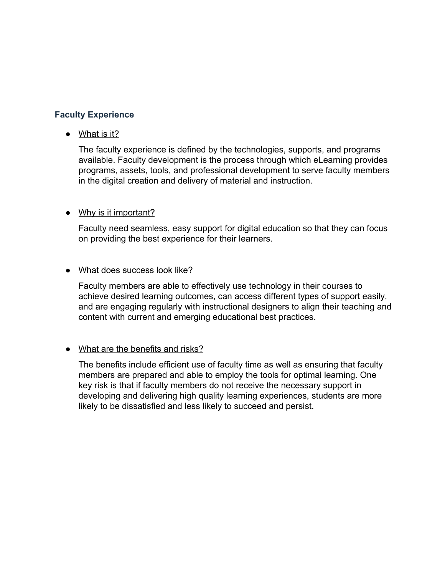## **Faculty Experience**

**●** What is it?

The faculty experience is defined by the technologies, supports, and programs available. Faculty development is the process through which eLearning provides programs, assets, tools, and professional development to serve faculty members in the digital creation and delivery of material and instruction.

#### • Why is it important?

Faculty need seamless, easy support for digital education so that they can focus on providing the best experience for their learners.

#### • What does success look like?

Faculty members are able to effectively use technology in their courses to achieve desired learning outcomes, can access different types of support easily, and are engaging regularly with instructional designers to align their teaching and content with current and emerging educational best practices.

#### • What are the benefits and risks?

The benefits include efficient use of faculty time as well as ensuring that faculty members are prepared and able to employ the tools for optimal learning. One key risk is that if faculty members do not receive the necessary support in developing and delivering high quality learning experiences, students are more likely to be dissatisfied and less likely to succeed and persist.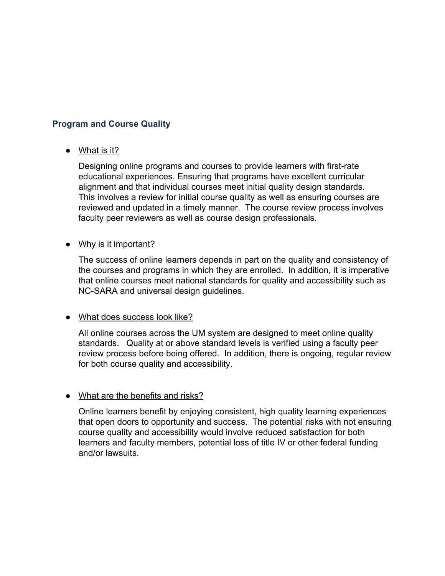## **Program and Course Quality**

**●** What is it?

Designing online programs and courses to provide learners with first-rate educational experiences. Ensuring that programs have excellent curricular alignment and that individual courses meet initial quality design standards. This involves a review for initial course quality as well as ensuring courses are reviewed and updated in a timely manner. The course review process involves faculty peer reviewers as well as course design professionals.

#### • Why is it important?

The success of online learners depends in part on the quality and consistency of the courses and programs in which they are enrolled. In addition, it is imperative that online courses meet national standards for quality and accessibility such as NC-SARA and universal design guidelines.

#### • What does success look like?

All online courses across the UM system are designed to meet online quality standards. Quality at or above standard levels is verified using a faculty peer review process before being offered. In addition, there is ongoing, regular review for both course quality and accessibility.

#### • What are the benefits and risks?

Online learners benefit by enjoying consistent, high quality learning experiences that open doors to opportunity and success. The potential risks with not ensuring course quality and accessibility would involve reduced satisfaction for both learners and faculty members, potential loss of title IV or other federal funding and/or lawsuits.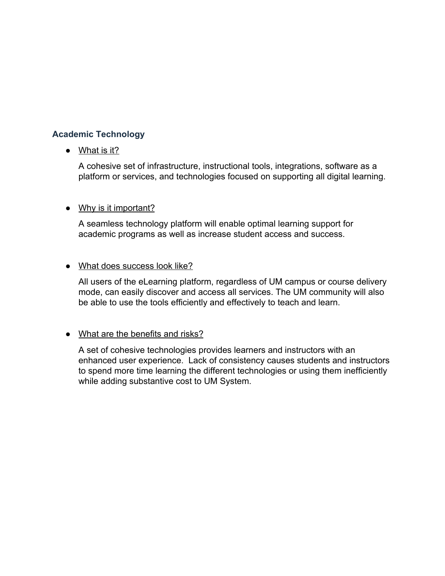# **Academic Technology**

# • What is it?

A cohesive set of infrastructure, instructional tools, integrations, software as a platform or services, and technologies focused on supporting all digital learning.

#### • Why is it important?

A seamless technology platform will enable optimal learning support for academic programs as well as increase student access and success.

#### ● What does success look like?

All users of the eLearning platform, regardless of UM campus or course delivery mode, can easily discover and access all services. The UM community will also be able to use the tools efficiently and effectively to teach and learn.

#### • What are the benefits and risks?

A set of cohesive technologies provides learners and instructors with an enhanced user experience. Lack of consistency causes students and instructors to spend more time learning the different technologies or using them inefficiently while adding substantive cost to UM System.